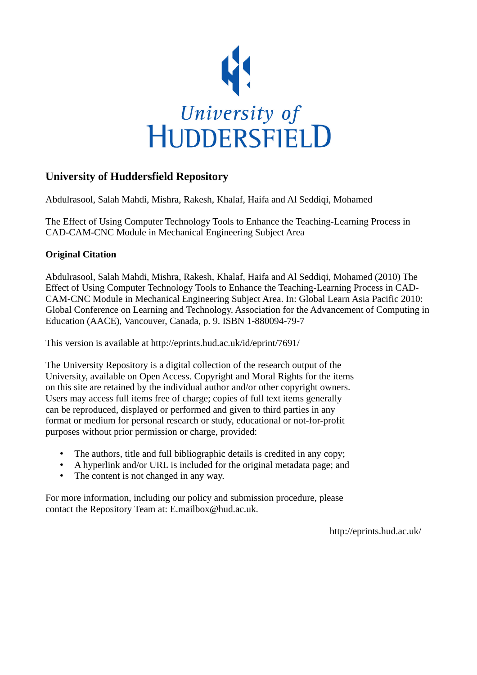

# **University of Huddersfield Repository**

Abdulrasool, Salah Mahdi, Mishra, Rakesh, Khalaf, Haifa and Al Seddiqi, Mohamed

The Effect of Using Computer Technology Tools to Enhance the Teaching-Learning Process in CAD-CAM-CNC Module in Mechanical Engineering Subject Area

# **Original Citation**

Abdulrasool, Salah Mahdi, Mishra, Rakesh, Khalaf, Haifa and Al Seddiqi, Mohamed (2010) The Effect of Using Computer Technology Tools to Enhance the Teaching-Learning Process in CAD-CAM-CNC Module in Mechanical Engineering Subject Area. In: Global Learn Asia Pacific 2010: Global Conference on Learning and Technology. Association for the Advancement of Computing in Education (AACE), Vancouver, Canada, p. 9. ISBN 1-880094-79-7

This version is available at http://eprints.hud.ac.uk/id/eprint/7691/

The University Repository is a digital collection of the research output of the University, available on Open Access. Copyright and Moral Rights for the items on this site are retained by the individual author and/or other copyright owners. Users may access full items free of charge; copies of full text items generally can be reproduced, displayed or performed and given to third parties in any format or medium for personal research or study, educational or not-for-profit purposes without prior permission or charge, provided:

- The authors, title and full bibliographic details is credited in any copy;
- A hyperlink and/or URL is included for the original metadata page; and
- The content is not changed in any way.

For more information, including our policy and submission procedure, please contact the Repository Team at: E.mailbox@hud.ac.uk.

http://eprints.hud.ac.uk/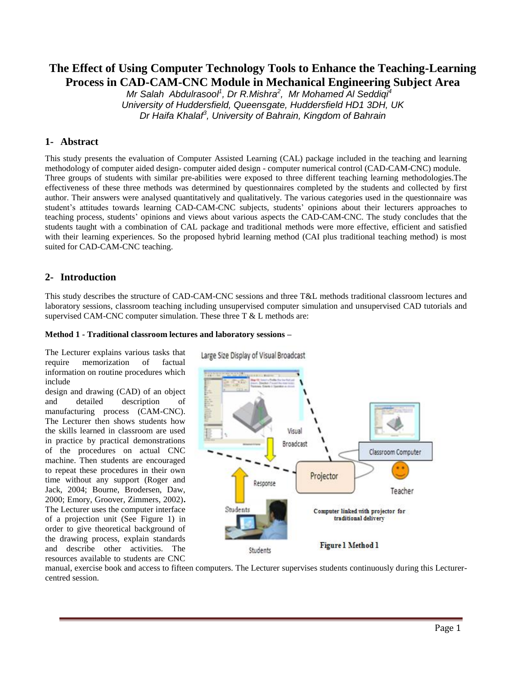# **The Effect of Using Computer Technology Tools to Enhance the Teaching-Learning Process in CAD-CAM-CNC Module in Mechanical Engineering Subject Area**

*Mr Salah Abdulrasool<sup>1</sup> , Dr R.Mishra<sup>2</sup> , Mr Mohamed Al Seddiqi<sup>4</sup> University of Huddersfield, Queensgate, Huddersfield HD1 3DH, UK Dr Haifa Khalaf<sup>3</sup> , University of Bahrain, Kingdom of Bahrain*

### **1- Abstract**

This study presents the evaluation of Computer Assisted Learning (CAL) package included in the teaching and learning methodology of computer aided design- computer aided design - computer numerical control (CAD-CAM-CNC) module. Three groups of students with similar pre-abilities were exposed to three different teaching learning methodologies.The effectiveness of these three methods was determined by questionnaires completed by the students and collected by first author. Their answers were analysed quantitatively and qualitatively. The various categories used in the questionnaire was student's attitudes towards learning CAD-CAM-CNC subjects, students' opinions about their lecturers approaches to teaching process, students' opinions and views about various aspects the CAD-CAM-CNC. The study concludes that the students taught with a combination of CAL package and traditional methods were more effective, efficient and satisfied with their learning experiences. So the proposed hybrid learning method (CAI plus traditional teaching method) is most suited for CAD-CAM-CNC teaching.

### **2- Introduction**

This study describes the structure of CAD-CAM-CNC sessions and three T&L methods traditional classroom lectures and laboratory sessions, classroom teaching including unsupervised computer simulation and unsupervised CAD tutorials and supervised CAM-CNC computer simulation. These three  $T \& L$  methods are:

#### **Method 1 - Traditional classroom lectures and laboratory sessions –**

The Lecturer explains various tasks that require memorization of factual information on routine procedures which include

design and drawing (CAD) of an object and detailed description of manufacturing process (CAM-CNC). The Lecturer then shows students how the skills learned in classroom are used in practice by practical demonstrations of the procedures on actual CNC machine. Then students are encouraged to repeat these procedures in their own time without any support (Roger and Jack, 2004; Bourne, Brodersen, Daw, 2000; Emory, Groover, Zimmers, 2002)**.**  The Lecturer uses the computer interface of a projection unit (See Figure 1) in order to give theoretical background of the drawing process, explain standards and describe other activities. The resources available to students are CNC

Large Size Display of Visual Broadcast



manual, exercise book and access to fifteen computers. The Lecturer supervises students continuously during this Lecturercentred session.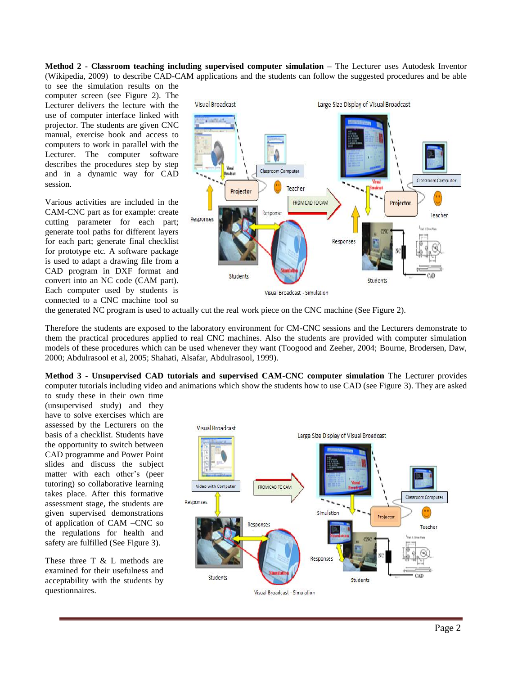**Method 2 - Classroom teaching including supervised computer simulation –** The Lecturer uses Autodesk Inventor (Wikipedia, 2009) to describe CAD-CAM applications and the students can follow the suggested procedures and be able

to see the simulation results on the computer screen (see Figure 2). The Lecturer delivers the lecture with the use of computer interface linked with projector. The students are given CNC manual, exercise book and access to computers to work in parallel with the Lecturer. The computer software describes the procedures step by step and in a dynamic way for CAD session.

Various activities are included in the CAM-CNC part as for example: create cutting parameter for each part; generate tool paths for different layers for each part; generate final checklist for prototype etc. A software package is used to adapt a drawing file from a CAD program in DXF format and convert into an NC code (CAM part). Each computer used by students is connected to a CNC machine tool so



the generated NC program is used to actually cut the real work piece on the CNC machine (See Figure 2).

Therefore the students are exposed to the laboratory environment for CM-CNC sessions and the Lecturers demonstrate to them the practical procedures applied to real CNC machines. Also the students are provided with computer simulation models of these procedures which can be used whenever they want (Toogood and Zeeher, 2004; Bourne, Brodersen, Daw, 2000; Abdulrasool et al, 2005; Shahati, Alsafar, Abdulrasool, 1999)*.*

**Method 3 - Unsupervised CAD tutorials and supervised CAM-CNC computer simulation** The Lecturer provides computer tutorials including video and animations which show the students how to use CAD (see Figure 3). They are asked

to study these in their own time (unsupervised study) and they have to solve exercises which are assessed by the Lecturers on the basis of a checklist. Students have the opportunity to switch between CAD programme and Power Point slides and discuss the subject matter with each other's (peer tutoring) so collaborative learning takes place. After this formative assessment stage, the students are given supervised demonstrations of application of CAM –CNC so the regulations for health and safety are fulfilled (See Figure 3).

These three T & L methods are examined for their usefulness and acceptability with the students by questionnaires.

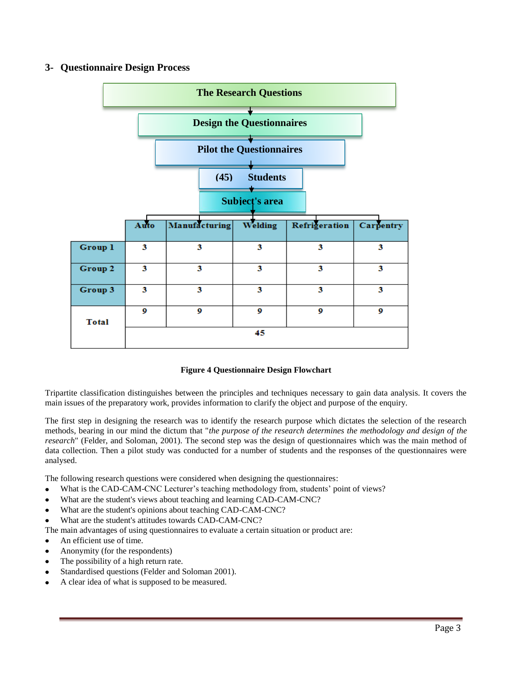## **3- Questionnaire Design Process**



### **Figure 4 Questionnaire Design Flowchart**

Tripartite classification distinguishes between the principles and techniques necessary to gain data analysis. It covers the main issues of the preparatory work, provides information to clarify the object and purpose of the enquiry.

The first step in designing the research was to identify the research purpose which dictates the selection of the research methods, bearing in our mind the dictum that "*the purpose of the research determines the methodology and design of the research*" (Felder, and Soloman, 2001)*.* The second step was the design of questionnaires which was the main method of data collection. Then a pilot study was conducted for a number of students and the responses of the questionnaires were analysed.

The following research questions were considered when designing the questionnaires:

- What is the CAD-CAM-CNC Lecturer's teaching methodology from, students' point of views?
- What are the student's views about teaching and learning CAD-CAM-CNC?
- What are the student's opinions about teaching CAD-CAM-CNC?  $\bullet$
- What are the student's attitudes towards CAD-CAM-CNC?

The main advantages of using questionnaires to evaluate a certain situation or product are:

- An efficient use of time.  $\bullet$
- Anonymity (for the respondents)
- The possibility of a high return rate.
- Standardised questions (Felder and Soloman 2001).
- A clear idea of what is supposed to be measured.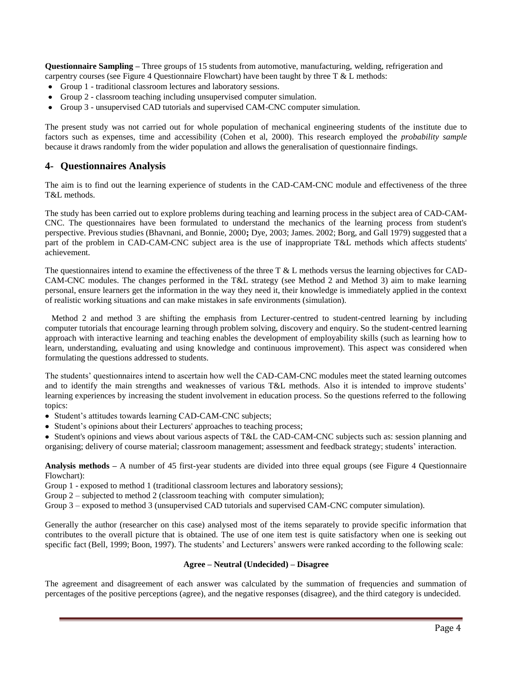**Questionnaire Sampling –** Three groups of 15 students from automotive, manufacturing, welding, refrigeration and carpentry courses (see Figure 4 Questionnaire Flowchart) have been taught by three  $T \& L$  methods:

- Group 1 traditional classroom lectures and laboratory sessions.
- Group 2 classroom teaching including unsupervised computer simulation.
- Group 3 unsupervised CAD tutorials and supervised CAM-CNC computer simulation.

The present study was not carried out for whole population of mechanical engineering students of the institute due to factors such as expenses, time and accessibility (Cohen et al, 2000)*.* This research employed the *probability sample* because it draws randomly from the wider population and allows the generalisation of questionnaire findings.

### **4- Questionnaires Analysis**

The aim is to find out the learning experience of students in the CAD-CAM-CNC module and effectiveness of the three T&L methods.

The study has been carried out to explore problems during teaching and learning process in the subject area of CAD-CAM-CNC. The questionnaires have been formulated to understand the mechanics of the learning process from student's perspective. Previous studies (Bhavnani, and Bonnie, 2000**;** Dye, 2003; James. 2002; Borg, and Gall 1979) suggested that a part of the problem in CAD-CAM-CNC subject area is the use of inappropriate T&L methods which affects students' achievement.

The questionnaires intend to examine the effectiveness of the three T  $\&$  L methods versus the learning objectives for CAD-CAM-CNC modules. The changes performed in the T&L strategy (see Method 2 and Method 3) aim to make learning personal, ensure learners get the information in the way they need it, their knowledge is immediately applied in the context of realistic working situations and can make mistakes in safe environments (simulation).

 Method 2 and method 3 are shifting the emphasis from Lecturer-centred to student-centred learning by including computer tutorials that encourage learning through problem solving, discovery and enquiry. So the student-centred learning approach with interactive learning and teaching enables the development of employability skills (such as learning how to learn, understanding, evaluating and using knowledge and continuous improvement). This aspect was considered when formulating the questions addressed to students.

The students' questionnaires intend to ascertain how well the CAD-CAM-CNC modules meet the stated learning outcomes and to identify the main strengths and weaknesses of various T&L methods. Also it is intended to improve students' learning experiences by increasing the student involvement in education process. So the questions referred to the following topics:

- Student's attitudes towards learning CAD-CAM-CNC subjects;
- Student's opinions about their Lecturers' approaches to teaching process;

• Student's opinions and views about various aspects of T&L the CAD-CAM-CNC subjects such as: session planning and organising; delivery of course material; classroom management; assessment and feedback strategy; students' interaction.

**Analysis methods –** A number of 45 first-year students are divided into three equal groups (see Figure 4 Questionnaire Flowchart):

Group 1 - exposed to method 1 (traditional classroom lectures and laboratory sessions);

Group 2 – subjected to method 2 (classroom teaching with computer simulation);

Group 3 – exposed to method 3 (unsupervised CAD tutorials and supervised CAM-CNC computer simulation).

Generally the author (researcher on this case) analysed most of the items separately to provide specific information that contributes to the overall picture that is obtained. The use of one item test is quite satisfactory when one is seeking out specific fact (Bell, 1999; Boon, 1997)*.* The students' and Lecturers' answers were ranked according to the following scale:

#### **Agree – Neutral (Undecided) – Disagree**

The agreement and disagreement of each answer was calculated by the summation of frequencies and summation of percentages of the positive perceptions (agree), and the negative responses (disagree), and the third category is undecided.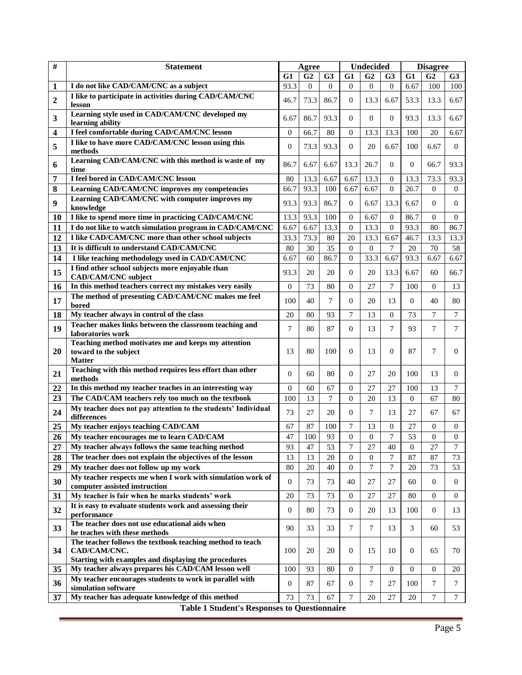| $\#$         | <b>Statement</b>                                                                                                                  | Agree            |                |                | <b>Undecided</b> |                  |                | <b>Disagree</b>  |                |                 |  |
|--------------|-----------------------------------------------------------------------------------------------------------------------------------|------------------|----------------|----------------|------------------|------------------|----------------|------------------|----------------|-----------------|--|
|              |                                                                                                                                   | G1               | G <sub>2</sub> | G3             | G1               | G <sub>2</sub>   | G <sub>3</sub> | G1               | G <sub>2</sub> | G <sub>3</sub>  |  |
| 1            | I do not like CAD/CAM/CNC as a subject                                                                                            | 93.3             | $\overline{0}$ | $\Omega$       | $\Omega$         | $\overline{0}$   | $\overline{0}$ | 6.67             | 100            | 100             |  |
| $\mathbf{2}$ | I like to participate in activities during CAD/CAM/CNC<br>lesson                                                                  | 46.7             | 73.3           | 86.7           | $\theta$         | 13.3             | 6.67           | 53.3             | 13.3           | 6.67            |  |
| 3            | Learning style used in CAD/CAM/CNC developed my<br>learning ability                                                               | 6.67             | 86.7           | 93.3           | $\theta$         | $\mathbf{0}$     | $\Omega$       | 93.3             | 13.3           | 6.67            |  |
| 4            | I feel comfortable during CAD/CAM/CNC lesson                                                                                      | $\theta$         | 66.7           | 80             | $\theta$         | 13.3             | 13.3           | 100              | 20             | 6.67            |  |
| 5            | I like to have more CAD/CAM/CNC lesson using this<br>methods                                                                      | $\mathbf{0}$     | 73.3           | 93.3           | $\theta$         | 20               | 6.67           | 100              | 6.67           | $\overline{0}$  |  |
| 6            | Learning CAD/CAM/CNC with this method is waste of my<br>time                                                                      | 86.7             | 6.67           | 6.67           | 13.3             | 26.7             | $\overline{0}$ | $\overline{0}$   | 66.7           | 93.3            |  |
| 7            | I feel bored in CAD/CAM/CNC lesson                                                                                                | 80               | 13.3           | 6.67           | 6.67             | 13.3             | $\overline{0}$ | 13.3             | 73.3           | 93.3            |  |
| 8            | Learning CAD/CAM/CNC improves my competencies                                                                                     | 66.7             | 93.3           | 100            | 6.67             | 6.67             | $\mathbf{0}$   | 26.7             | $\Omega$       | $\overline{0}$  |  |
| 9            | Learning CAD/CAM/CNC with computer improves my<br>knowledge                                                                       | 93.3             | 93.3           | 86.7           | $\theta$         | 6.67             | 13.3           | 6.67             | $\Omega$       | $\overline{0}$  |  |
| 10           | I like to spend more time in practicing CAD/CAM/CNC                                                                               | 13.3             | 93.3           | 100            | $\theta$         | 6.67             | $\theta$       | 86.7             | $\Omega$       | $\theta$        |  |
| 11           | I do not like to watch simulation program in CAD/CAM/CNC                                                                          | 6.67             | 6.67           | 13.3           | $\theta$         | 13.3             | $\theta$       | 93.3             | 80             | 86.7            |  |
| 12           | I like CAD/CAM/CNC more than other school subjects                                                                                | 33.3             | 73.3           | 80             | 20               | 13.3             | 6.67           | 46.7             | 13.3           | 13.3            |  |
| 13           | It is difficult to understand CAD/CAM/CNC                                                                                         | 80               | 30             | 35             | $\theta$         | $\overline{0}$   | $\overline{7}$ | 20               | 70             | 58              |  |
| 14           | I like teaching methodology used in CAD/CAM/CNC                                                                                   | 6.67             | 60             | 86.7           | $\theta$         | 33.3             | 6.67           | 93.3             | 6.67           | 6.67            |  |
| 15           | I find other school subjects more enjoyable than<br>CAD/CAM/CNC subject                                                           | 93.3             | 20             | 20             | $\overline{0}$   | 20               | 13.3           | 6.67             | 60             | 66.7            |  |
| 16           | In this method teachers correct my mistakes very easily                                                                           | $\boldsymbol{0}$ | 73             | 80             | $\mathbf{0}$     | 27               | 7              | 100              | $\Omega$       | 13              |  |
| 17           | The method of presenting CAD/CAM/CNC makes me feel<br>bored                                                                       | 100              | 40             | 7              | $\mathbf{0}$     | 20               | 13             | $\Omega$         | 40             | 80              |  |
| 18           | My teacher always in control of the class                                                                                         | 20               | 80             | 93             | $\overline{7}$   | 13               | $\overline{0}$ | 73               | $\tau$         | $7\phantom{.0}$ |  |
| 19           | Teacher makes links between the classroom teaching and<br>laboratories work                                                       | 7                | 80             | 87             | $\mathbf{0}$     | 13               | 7              | 93               | 7              | 7               |  |
| 20           | Teaching method motivates me and keeps my attention<br>toward to the subject<br><b>Matter</b>                                     | 13               | 80             | 100            | $\Omega$         | 13               | $\Omega$       | 87               | 7              | $\Omega$        |  |
| 21           | Teaching with this method requires less effort than other<br>methods                                                              | $\overline{0}$   | 60             | 80             | $\overline{0}$   | 27               | 20             | 100              | 13             | $\Omega$        |  |
| 22           | In this method my teacher teaches in an interesting way                                                                           | $\Omega$         | 60             | 67             | $\mathbf{0}$     | 27               | 27             | 100              | 13             | 7               |  |
| 23           | The CAD/CAM teachers rely too much on the textbook                                                                                | 100              | 13             | $\overline{7}$ | $\theta$         | 20               | 13             | $\overline{0}$   | 67             | 80              |  |
| 24           | My teacher does not pay attention to the students' Individual<br>differences                                                      | 73               | 27             | 20             | $\mathbf{0}$     | 7                | 13             | 27               | 67             | 67              |  |
| 25           | My teacher enjoys teaching CAD/CAM                                                                                                | 67               | 87             | 100            | $\overline{7}$   | 13               | $\mathbf{0}$   | 27               | $\mathbf{0}$   | $\overline{0}$  |  |
| 26           | My teacher encourages me to learn CAD/CAM                                                                                         | 47               | 100            | 93             | $\overline{0}$   | $\mathbf{0}$     | $\tau$         | 53               | $\theta$       | $\overline{0}$  |  |
| 27           | My teacher always follows the same teaching method                                                                                | 93               | 47             | 53             | 7                | 27               | 40             | $\boldsymbol{0}$ | 27             | 7               |  |
| 28           | The teacher does not explain the objectives of the lesson                                                                         | 13               | 13             | 20             | $\overline{0}$   | $\boldsymbol{0}$ | $\overline{7}$ | 87               | 87             | 73              |  |
| 29           | My teacher does not follow up my work                                                                                             | 80               | 20             | 40             | $\theta$         | $\overline{7}$   | $\tau$         | 20               | 73             | 53              |  |
| 30           | My teacher respects me when I work with simulation work of<br>computer assisted instruction                                       | $\mathbf{0}$     | 73             | 73             | 40               | 27               | 27             | 60               | $\overline{0}$ | $\overline{0}$  |  |
| 31           | My teacher is fair when he marks students' work                                                                                   | 20               | 73             | 73             | $\boldsymbol{0}$ | 27               | 27             | 80               | $\overline{0}$ | $\mathbf{0}$    |  |
| 32           | It is easy to evaluate students work and assessing their<br>performance                                                           | $\overline{0}$   | 80             | 73             | $\mathbf{0}$     | 20               | 13             | 100              | $\overline{0}$ | 13              |  |
| 33           | The teacher does not use educational aids when<br>he teaches with these methods                                                   | 90               | 33             | 33             | 7                | 7                | 13             | 3                | 60             | 53              |  |
| 34           | The teacher follows the textbook teaching method to teach<br>CAD/CAM/CNC.<br>Starting with examples and displaying the procedures | 100              | 20             | 20             | $\overline{0}$   | 15               | 10             | 0                | 65             | 70              |  |
| 35           | My teacher always prepares his CAD/CAM lesson well                                                                                | 100              | 93             | 80             | $\boldsymbol{0}$ | 7                | $\mathbf{0}$   | $\overline{0}$   | $\overline{0}$ | 20              |  |
| 36           | My teacher encourages students to work in parallel with<br>simulation software                                                    | $\mathbf{0}$     | 87             | 67             | $\mathbf{0}$     | 7                | 27             | 100              | 7              | 7               |  |
| 37           | My teacher has adequate knowledge of this method                                                                                  | 73               | 73             | 67             | $\tau$           | 20               | 27             | 20               | 7              | $\tau$          |  |
|              | <b>Table 1 Student's Responses to Questionnaire</b>                                                                               |                  |                |                |                  |                  |                |                  |                |                 |  |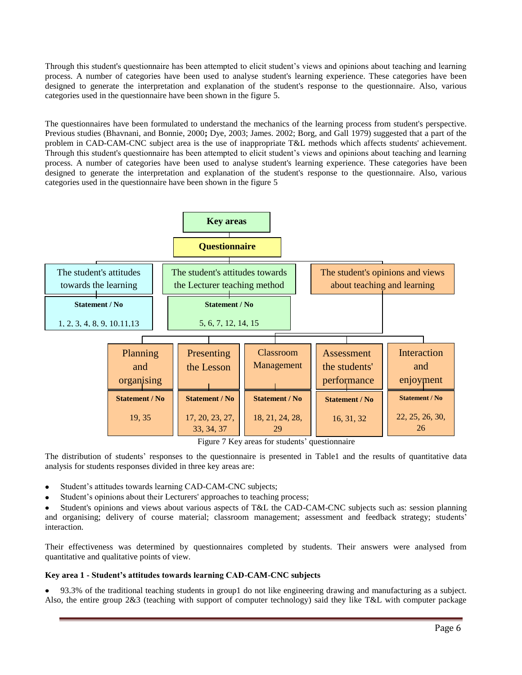Through this student's questionnaire has been attempted to elicit student's views and opinions about teaching and learning process. A number of categories have been used to analyse student's learning experience. These categories have been designed to generate the interpretation and explanation of the student's response to the questionnaire. Also, various categories used in the questionnaire have been shown in the figure 5.

The questionnaires have been formulated to understand the mechanics of the learning process from student's perspective. Previous studies (Bhavnani, and Bonnie, 2000**;** Dye, 2003; James. 2002; Borg, and Gall 1979) suggested that a part of the problem in CAD-CAM-CNC subject area is the use of inappropriate T&L methods which affects students' achievement. Through this student's questionnaire has been attempted to elicit student's views and opinions about teaching and learning process. A number of categories have been used to analyse student's learning experience. These categories have been designed to generate the interpretation and explanation of the student's response to the questionnaire. Also, various categories used in the questionnaire have been shown in the figure 5



Figure 7 Key areas for students' questionnaire

The distribution of students' responses to the questionnaire is presented in Table1 and the results of quantitative data analysis for students responses divided in three key areas are:

- Student's attitudes towards learning CAD-CAM-CNC subjects;
- Student's opinions about their Lecturers' approaches to teaching process;

Student's opinions and views about various aspects of T&L the CAD-CAM-CNC subjects such as: session planning and organising; delivery of course material; classroom management; assessment and feedback strategy; students' interaction.

Their effectiveness was determined by questionnaires completed by students. Their answers were analysed from quantitative and qualitative points of view.

## **Key area 1 - Student's attitudes towards learning CAD-CAM-CNC subjects**

93.3% of the traditional teaching students in group1 do not like engineering drawing and manufacturing as a subject.  $\bullet$ Also, the entire group 2&3 (teaching with support of computer technology) said they like T&L with computer package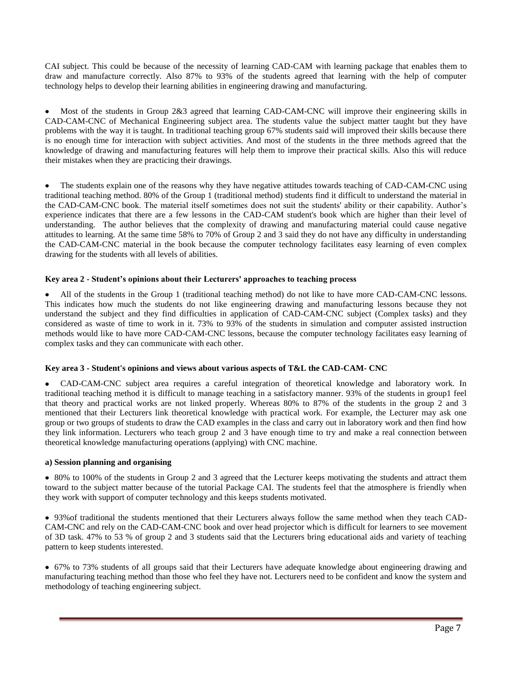CAI subject. This could be because of the necessity of learning CAD-CAM with learning package that enables them to draw and manufacture correctly. Also 87% to 93% of the students agreed that learning with the help of computer technology helps to develop their learning abilities in engineering drawing and manufacturing.

Most of the students in Group 2&3 agreed that learning CAD-CAM-CNC will improve their engineering skills in CAD-CAM-CNC of Mechanical Engineering subject area. The students value the subject matter taught but they have problems with the way it is taught. In traditional teaching group 67% students said will improved their skills because there is no enough time for interaction with subject activities. And most of the students in the three methods agreed that the knowledge of drawing and manufacturing features will help them to improve their practical skills. Also this will reduce their mistakes when they are practicing their drawings.

The students explain one of the reasons why they have negative attitudes towards teaching of CAD-CAM-CNC using  $\bullet$ traditional teaching method. 80% of the Group 1 (traditional method) students find it difficult to understand the material in the CAD-CAM-CNC book. The material itself sometimes does not suit the students' ability or their capability. Author's experience indicates that there are a few lessons in the CAD-CAM student's book which are higher than their level of understanding. The author believes that the complexity of drawing and manufacturing material could cause negative attitudes to learning. At the same time 58% to 70% of Group 2 and 3 said they do not have any difficulty in understanding the CAD-CAM-CNC material in the book because the computer technology facilitates easy learning of even complex drawing for the students with all levels of abilities.

### **Key area 2 - Student's opinions about their Lecturers' approaches to teaching process**

All of the students in the Group 1 (traditional teaching method) do not like to have more CAD-CAM-CNC lessons. This indicates how much the students do not like engineering drawing and manufacturing lessons because they not understand the subject and they find difficulties in application of CAD-CAM-CNC subject (Complex tasks) and they considered as waste of time to work in it. 73% to 93% of the students in simulation and computer assisted instruction methods would like to have more CAD-CAM-CNC lessons, because the computer technology facilitates easy learning of complex tasks and they can communicate with each other.

### **Key area 3 - Student's opinions and views about various aspects of T&L the CAD-CAM- CNC**

 $\bullet$ CAD-CAM-CNC subject area requires a careful integration of theoretical knowledge and laboratory work. In traditional teaching method it is difficult to manage teaching in a satisfactory manner. 93% of the students in group1 feel that theory and practical works are not linked properly. Whereas 80% to 87% of the students in the group 2 and 3 mentioned that their Lecturers link theoretical knowledge with practical work. For example, the Lecturer may ask one group or two groups of students to draw the CAD examples in the class and carry out in laboratory work and then find how they link information. Lecturers who teach group 2 and 3 have enough time to try and make a real connection between theoretical knowledge manufacturing operations (applying) with CNC machine.

#### **a) Session planning and organising**

80% to 100% of the students in Group 2 and 3 agreed that the Lecturer keeps motivating the students and attract them toward to the subject matter because of the tutorial Package CAI. The students feel that the atmosphere is friendly when they work with support of computer technology and this keeps students motivated.

93%of traditional the students mentioned that their Lecturers always follow the same method when they teach CAD-CAM-CNC and rely on the CAD-CAM-CNC book and over head projector which is difficult for learners to see movement of 3D task. 47% to 53 % of group 2 and 3 students said that the Lecturers bring educational aids and variety of teaching pattern to keep students interested.

67% to 73% students of all groups said that their Lecturers have adequate knowledge about engineering drawing and manufacturing teaching method than those who feel they have not. Lecturers need to be confident and know the system and methodology of teaching engineering subject.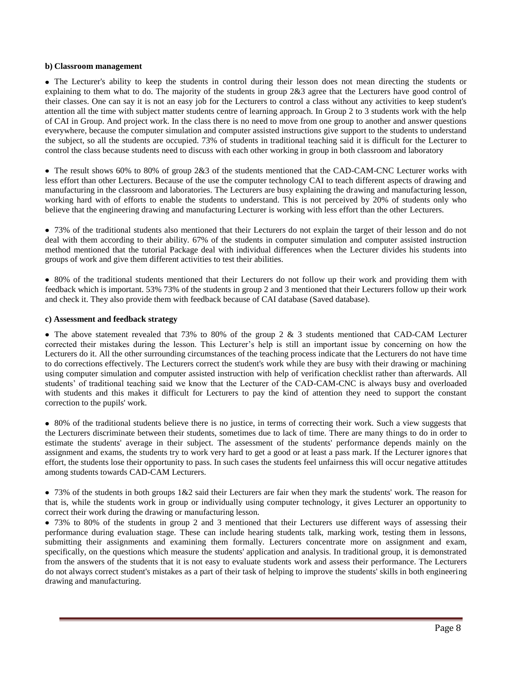#### **b) Classroom management**

The Lecturer's ability to keep the students in control during their lesson does not mean directing the students or explaining to them what to do. The majority of the students in group  $2\&3$  agree that the Lecturers have good control of their classes. One can say it is not an easy job for the Lecturers to control a class without any activities to keep student's attention all the time with subject matter students centre of learning approach. In Group 2 to 3 students work with the help of CAI in Group. And project work. In the class there is no need to move from one group to another and answer questions everywhere, because the computer simulation and computer assisted instructions give support to the students to understand the subject, so all the students are occupied. 73% of students in traditional teaching said it is difficult for the Lecturer to control the class because students need to discuss with each other working in group in both classroom and laboratory

• The result shows 60% to 80% of group 2&3 of the students mentioned that the CAD-CAM-CNC Lecturer works with less effort than other Lecturers. Because of the use the computer technology CAI to teach different aspects of drawing and manufacturing in the classroom and laboratories. The Lecturers are busy explaining the drawing and manufacturing lesson, working hard with of efforts to enable the students to understand. This is not perceived by 20% of students only who believe that the engineering drawing and manufacturing Lecturer is working with less effort than the other Lecturers.

73% of the traditional students also mentioned that their Lecturers do not explain the target of their lesson and do not deal with them according to their ability. 67% of the students in computer simulation and computer assisted instruction method mentioned that the tutorial Package deal with individual differences when the Lecturer divides his students into groups of work and give them different activities to test their abilities.

80% of the traditional students mentioned that their Lecturers do not follow up their work and providing them with feedback which is important. 53% 73% of the students in group 2 and 3 mentioned that their Lecturers follow up their work and check it. They also provide them with feedback because of CAI database (Saved database).

#### **c) Assessment and feedback strategy**

• The above statement revealed that 73% to 80% of the group 2 & 3 students mentioned that CAD-CAM Lecturer corrected their mistakes during the lesson. This Lecturer's help is still an important issue by concerning on how the Lecturers do it. All the other surrounding circumstances of the teaching process indicate that the Lecturers do not have time to do corrections effectively. The Lecturers correct the student's work while they are busy with their drawing or machining using computer simulation and computer assisted instruction with help of verification checklist rather than afterwards. All students' of traditional teaching said we know that the Lecturer of the CAD-CAM-CNC is always busy and overloaded with students and this makes it difficult for Lecturers to pay the kind of attention they need to support the constant correction to the pupils' work.

80% of the traditional students believe there is no justice, in terms of correcting their work. Such a view suggests that the Lecturers discriminate between their students, sometimes due to lack of time. There are many things to do in order to estimate the students' average in their subject. The assessment of the students' performance depends mainly on the assignment and exams, the students try to work very hard to get a good or at least a pass mark. If the Lecturer ignores that effort, the students lose their opportunity to pass. In such cases the students feel unfairness this will occur negative attitudes among students towards CAD-CAM Lecturers.

 $\bullet$  73% of the students in both groups  $1\&2$  said their Lecturers are fair when they mark the students' work. The reason for that is, while the students work in group or individually using computer technology, it gives Lecturer an opportunity to correct their work during the drawing or manufacturing lesson.

• 73% to 80% of the students in group 2 and 3 mentioned that their Lecturers use different ways of assessing their performance during evaluation stage. These can include hearing students talk, marking work, testing them in lessons, submitting their assignments and examining them formally. Lecturers concentrate more on assignment and exam, specifically, on the questions which measure the students' application and analysis. In traditional group, it is demonstrated from the answers of the students that it is not easy to evaluate students work and assess their performance. The Lecturers do not always correct student's mistakes as a part of their task of helping to improve the students' skills in both engineering drawing and manufacturing.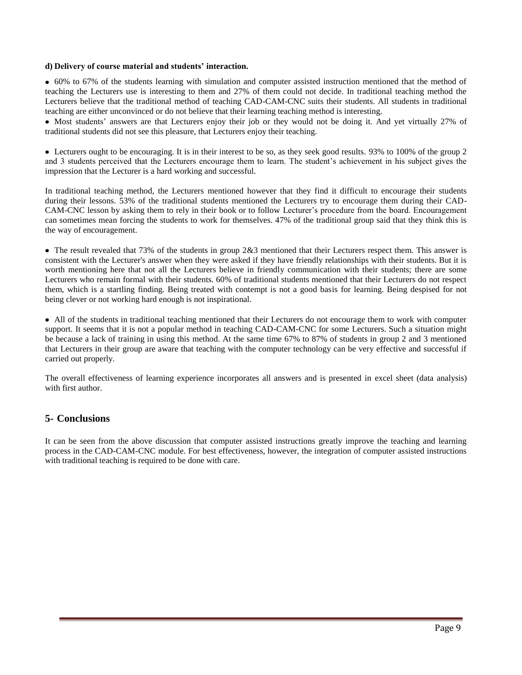#### **d) Delivery of course material and students' interaction.**

60% to 67% of the students learning with simulation and computer assisted instruction mentioned that the method of teaching the Lecturers use is interesting to them and 27% of them could not decide. In traditional teaching method the Lecturers believe that the traditional method of teaching CAD-CAM-CNC suits their students. All students in traditional teaching are either unconvinced or do not believe that their learning teaching method is interesting.

• Most students' answers are that Lecturers enjoy their job or they would not be doing it. And yet virtually 27% of traditional students did not see this pleasure, that Lecturers enjoy their teaching.

Lecturers ought to be encouraging. It is in their interest to be so, as they seek good results. 93% to 100% of the group 2 and 3 students perceived that the Lecturers encourage them to learn. The student's achievement in his subject gives the impression that the Lecturer is a hard working and successful.

In traditional teaching method, the Lecturers mentioned however that they find it difficult to encourage their students during their lessons. 53% of the traditional students mentioned the Lecturers try to encourage them during their CAD-CAM-CNC lesson by asking them to rely in their book or to follow Lecturer's procedure from the board. Encouragement can sometimes mean forcing the students to work for themselves. 47% of the traditional group said that they think this is the way of encouragement.

• The result revealed that 73% of the students in group 2&3 mentioned that their Lecturers respect them. This answer is consistent with the Lecturer's answer when they were asked if they have friendly relationships with their students. But it is worth mentioning here that not all the Lecturers believe in friendly communication with their students; there are some Lecturers who remain formal with their students. 60% of traditional students mentioned that their Lecturers do not respect them, which is a startling finding. Being treated with contempt is not a good basis for learning. Being despised for not being clever or not working hard enough is not inspirational.

All of the students in traditional teaching mentioned that their Lecturers do not encourage them to work with computer support. It seems that it is not a popular method in teaching CAD-CAM-CNC for some Lecturers. Such a situation might be because a lack of training in using this method. At the same time 67% to 87% of students in group 2 and 3 mentioned that Lecturers in their group are aware that teaching with the computer technology can be very effective and successful if carried out properly.

The overall effectiveness of learning experience incorporates all answers and is presented in excel sheet (data analysis) with first author.

### **5- Conclusions**

It can be seen from the above discussion that computer assisted instructions greatly improve the teaching and learning process in the CAD-CAM-CNC module. For best effectiveness, however, the integration of computer assisted instructions with traditional teaching is required to be done with care.